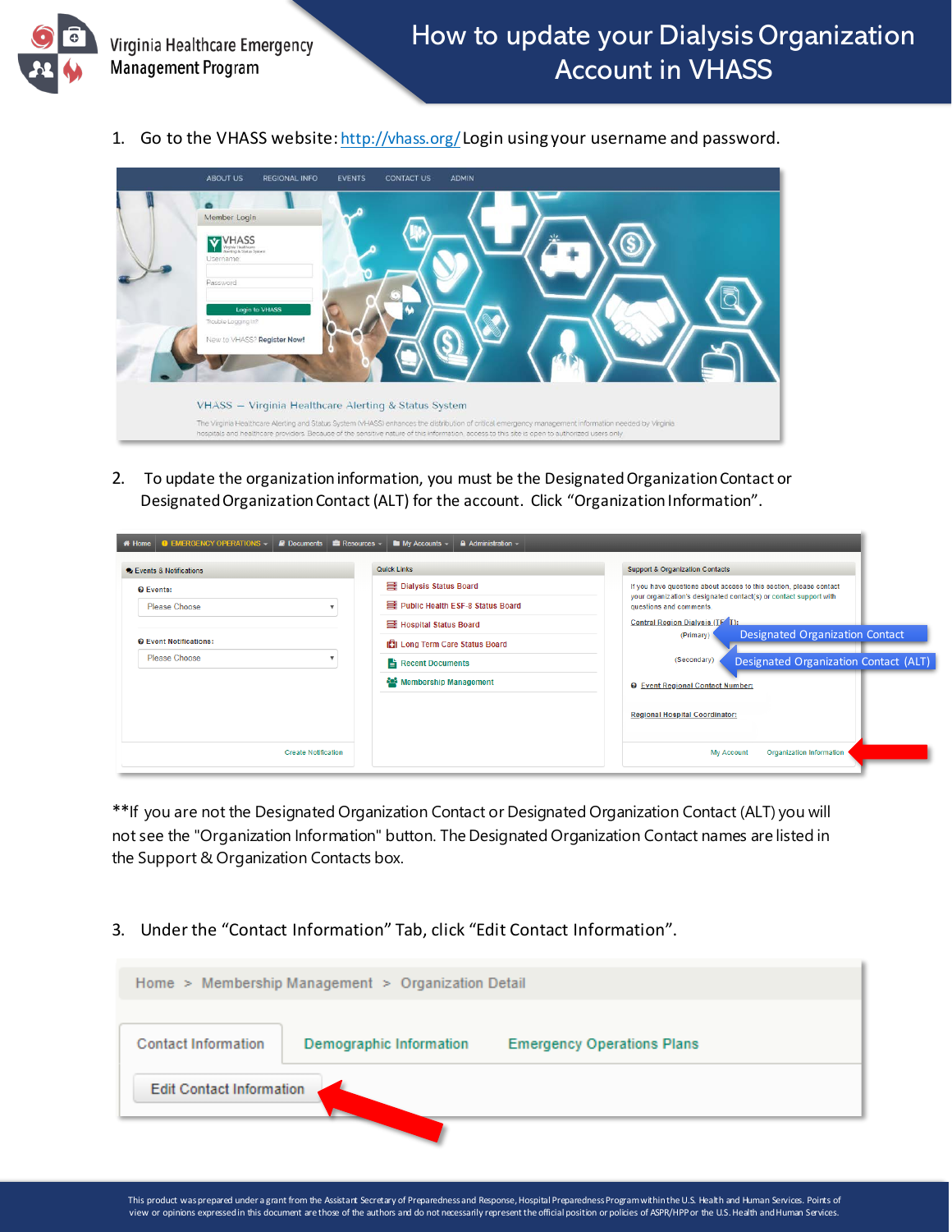

1. Go to the VHASS website[: http://vhass.org/](http://vhass.org/)Login using your username and password.



2. To update the organization information, you must be the Designated Organization Contact or Designated Organization Contact (ALT) for the account. Click "Organization Information".

| <b>O EMERGENCY OPERATIONS -</b><br>Documents <b>&amp;</b> Resources -<br># Home                                   | $\triangle$ Administration $\sim$<br>$\blacksquare$ My Accounts $\sim$                                                                                                      |                                                                                                                                                                                                                                                                                                                                                                                                                                                                               |
|-------------------------------------------------------------------------------------------------------------------|-----------------------------------------------------------------------------------------------------------------------------------------------------------------------------|-------------------------------------------------------------------------------------------------------------------------------------------------------------------------------------------------------------------------------------------------------------------------------------------------------------------------------------------------------------------------------------------------------------------------------------------------------------------------------|
| <b>C</b> Events & Notifications                                                                                   | <b>Quick Links</b>                                                                                                                                                          | <b>Support &amp; Organization Contacts</b>                                                                                                                                                                                                                                                                                                                                                                                                                                    |
| <b>O</b> Events:<br>Please Choose<br><b>Q</b> Event Notifications:<br>Please Choose<br><b>Create Notification</b> | Dialysis Status Board<br>里 Public Health ESF-8 Status Board<br>Hospital Status Board<br><b>ICI</b> Long Term Care Status Board<br>Recent Documents<br>Membership Management | If you have questions about access to this section, please contact<br>your organization's designated contact(s) or contact support with<br>questions and comments.<br>Central Region Dialysis (TE <sup>T</sup> T):<br><b>Designated Organization Contact</b><br>(Primary)<br>(Secondary)<br>Designated Organization Contact (ALT)<br><b>O</b> Event Regional Contact Number:<br><b>Regional Hospital Coordinator:</b><br><b>Organization Information</b><br><b>My Account</b> |

\*\*If you are not the Designated Organization Contact or Designated Organization Contact (ALT) you will not see the "Organization Information" button. The Designated Organization Contact names are listed in the Support & Organization Contacts box.

3. Under the "Contact Information" Tab, click "Edit Contact Information".

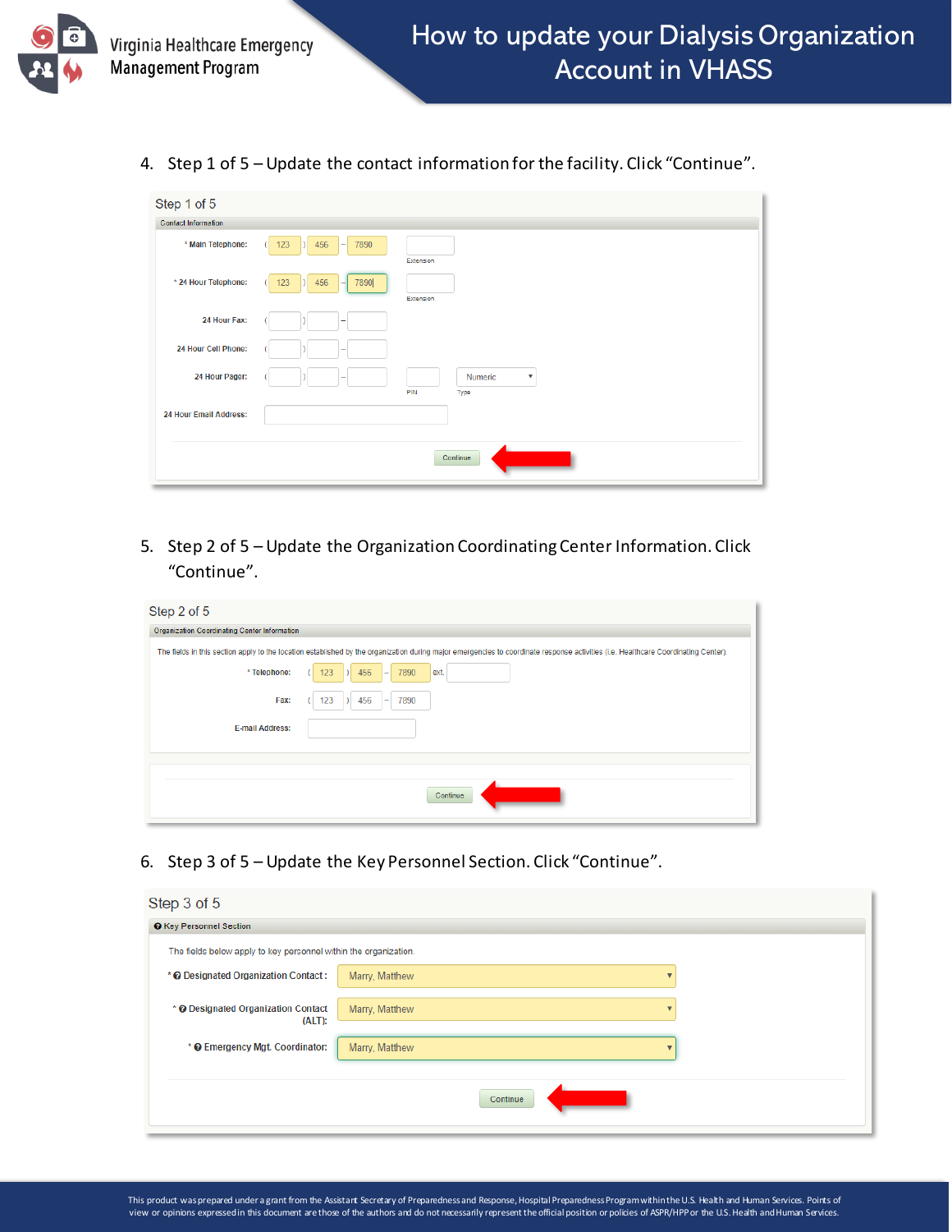

4. Step 1 of 5 – Update the contact information for the facility. Click "Continue".

| Step 1 of 5                |                                      |
|----------------------------|--------------------------------------|
| <b>Contact Information</b> |                                      |
| * Main Telephone:          | 456<br>7890<br>123<br>۰<br>Extension |
| * 24 Hour Telephone:       | 123<br>456<br>7890<br>۰<br>Extension |
| 24 Hour Fax:               |                                      |
| 24 Hour Cell Phone:        |                                      |
| 24 Hour Pager:             | Numeric<br>$\boldsymbol{\mathrm{v}}$ |
|                            | PIN<br>Type                          |
| 24 Hour Email Address:     |                                      |
|                            | Continue                             |

5. Step 2 of 5 – Update the Organization Coordinating Center Information. Click "Continue".

| Step 2 of 5                                  |                                                                                                                                                                                    |
|----------------------------------------------|------------------------------------------------------------------------------------------------------------------------------------------------------------------------------------|
| Organization Coordinating Center Information |                                                                                                                                                                                    |
|                                              | The fields in this section apply to the location established by the organization during major emergencies to coordinate response activities (i.e. Healthcare Coordinating Center). |
| * Telephone:                                 | 123<br>456<br>7890<br>ext.<br>-                                                                                                                                                    |
| Fax:                                         | 7890<br>123<br>456<br>$\overline{\phantom{a}}$                                                                                                                                     |
| <b>E-mail Address:</b>                       |                                                                                                                                                                                    |
|                                              |                                                                                                                                                                                    |
|                                              |                                                                                                                                                                                    |
|                                              | Continue                                                                                                                                                                           |

6. Step 3 of 5 – Update the Key Personnel Section. Click "Continue".

| Step 3 of 5                                                      |                |  |
|------------------------------------------------------------------|----------------|--|
| <b>O</b> Key Personnel Section                                   |                |  |
| The fields below apply to key personnel within the organization. |                |  |
| * @ Designated Organization Contact:                             | Marry, Matthew |  |
| * @ Designated Organization Contact<br>(ALT):                    | Marry, Matthew |  |
| * @ Emergency Mgt. Coordinator:                                  | Marry, Matthew |  |
|                                                                  | Continue       |  |